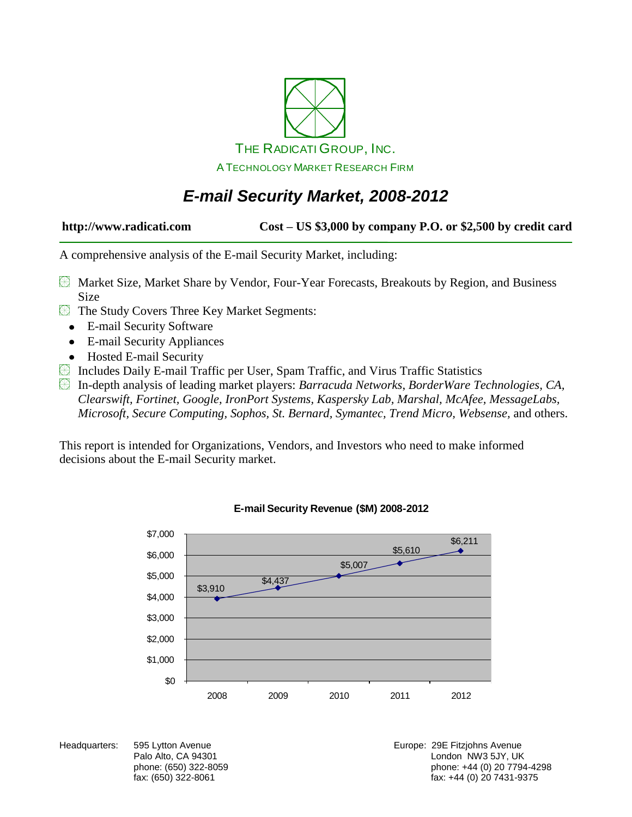

### *E-mail Security Market, 2008-2012*

**http://www.radicati.com Cost – US \$3,000 by company P.O. or \$2,500 by credit card**

A comprehensive analysis of the E-mail Security Market, including:

- Market Size, Market Share by Vendor, Four-Year Forecasts, Breakouts by Region, and Business Size
- The Study Covers Three Key Market Segments:
	- E-mail Security Software  $\bullet$
	- E-mail Security Appliances
	- Hosted E-mail Security
- Includes Daily E-mail Traffic per User, Spam Traffic, and Virus Traffic Statistics

In-depth analysis of leading market players: *Barracuda Networks*, *BorderWare Technologies, CA, Clearswift, Fortinet, Google, IronPort Systems, Kaspersky Lab, Marshal, McAfee, MessageLabs, Microsoft, Secure Computing, Sophos, St. Bernard, Symantec, Trend Micro, Websense,* and others.

This report is intended for Organizations, Vendors, and Investors who need to make informed decisions about the E-mail Security market.



#### **E-mail Security Revenue (\$M) 2008-2012**

Headquarters: 595 Lytton Avenue **Europe: 295 Fitzjohns Avenue** Europe: 29E Fitzjohns Avenue Palo Alto, CA 94301 **Disk and Alto, CA 94301** London NW3 5JY, UK phone: (650) 322-8059 phone: +44 (0) 20 7794-4298 fax: +44 (0) 20 7431-9375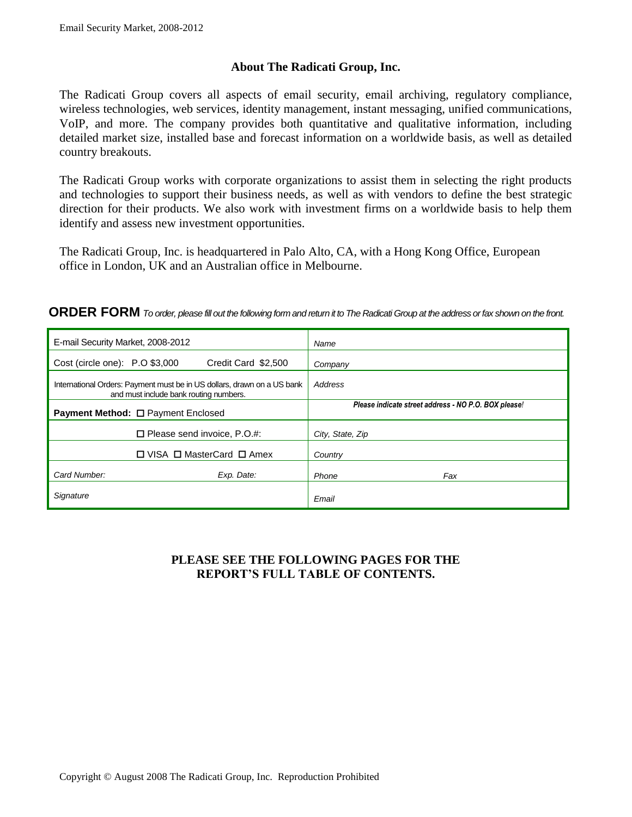#### **About The Radicati Group, Inc.**

The Radicati Group covers all aspects of email security, email archiving, regulatory compliance, wireless technologies, web services, identity management, instant messaging, unified communications, VoIP, and more. The company provides both quantitative and qualitative information, including detailed market size, installed base and forecast information on a worldwide basis, as well as detailed country breakouts.

The Radicati Group works with corporate organizations to assist them in selecting the right products and technologies to support their business needs, as well as with vendors to define the best strategic direction for their products. We also work with investment firms on a worldwide basis to help them identify and assess new investment opportunities.

The Radicati Group, Inc. is headquartered in Palo Alto, CA, with a Hong Kong Office, European office in London, UK and an Australian office in Melbourne.

| E-mail Security Market, 2008-2012                                                                                 | Name                                                 |
|-------------------------------------------------------------------------------------------------------------------|------------------------------------------------------|
| Cost (circle one): P.O \$3,000<br>Credit Card \$2,500                                                             | Company                                              |
| International Orders: Payment must be in US dollars, drawn on a US bank<br>and must include bank routing numbers. | Address                                              |
| <b>Payment Method: □ Payment Enclosed</b>                                                                         | Please indicate street address - NO P.O. BOX please! |
| $\Box$ Please send invoice, P.O.#:                                                                                | City, State, Zip                                     |
| $\Box$ VISA $\Box$ MasterCard $\Box$ Amex                                                                         | Country                                              |
| Card Number:<br>Exp. Date:                                                                                        | Phone<br>Fax                                         |
| Signature                                                                                                         | Email                                                |

#### **PLEASE SEE THE FOLLOWING PAGES FOR THE REPORT'S FULL TABLE OF CONTENTS.**

**ORDER FORM** *To order, please fill out the following form and return it to The Radicati Group at the address or fax shown on the front.*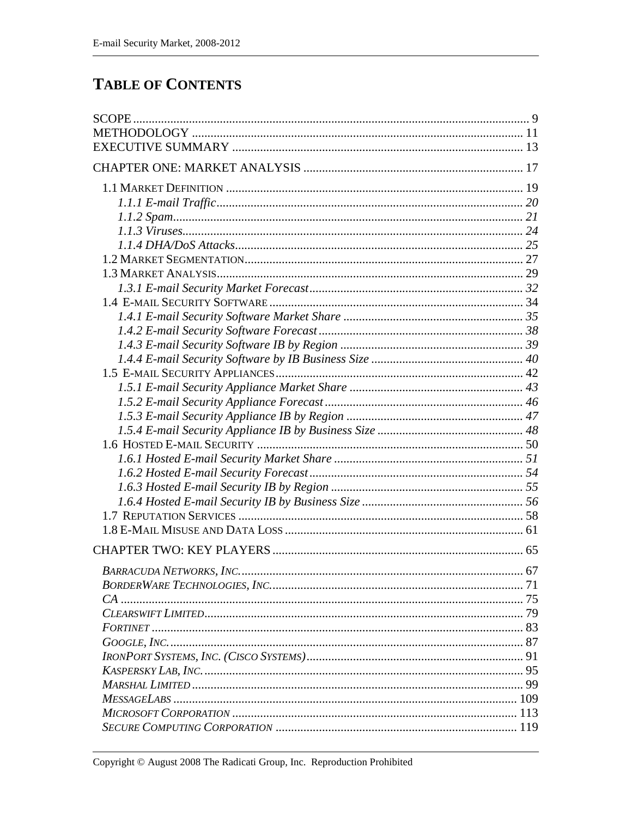### **TABLE OF CONTENTS**

| <b>BARRACUDA NETWORKS, INC.</b> | 67 |
|---------------------------------|----|
|                                 |    |
|                                 |    |
|                                 |    |
|                                 |    |
|                                 |    |
|                                 |    |
|                                 |    |
|                                 |    |
|                                 |    |
|                                 |    |
|                                 |    |
|                                 |    |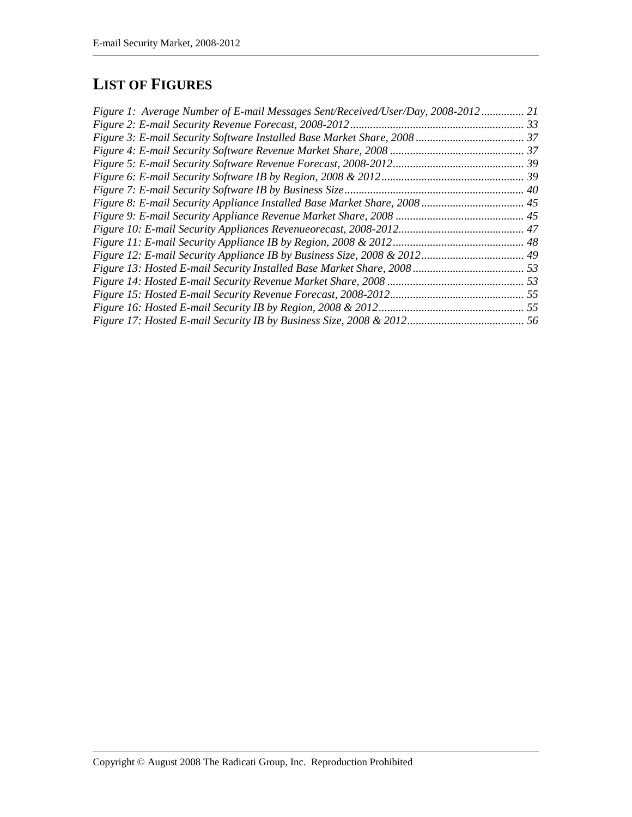## **LIST OF FIGURES**

| Figure 1: Average Number of E-mail Messages Sent/Received/User/Day, 2008-2012 21 |  |
|----------------------------------------------------------------------------------|--|
|                                                                                  |  |
|                                                                                  |  |
|                                                                                  |  |
|                                                                                  |  |
|                                                                                  |  |
|                                                                                  |  |
|                                                                                  |  |
|                                                                                  |  |
|                                                                                  |  |
|                                                                                  |  |
|                                                                                  |  |
|                                                                                  |  |
|                                                                                  |  |
|                                                                                  |  |
|                                                                                  |  |
|                                                                                  |  |